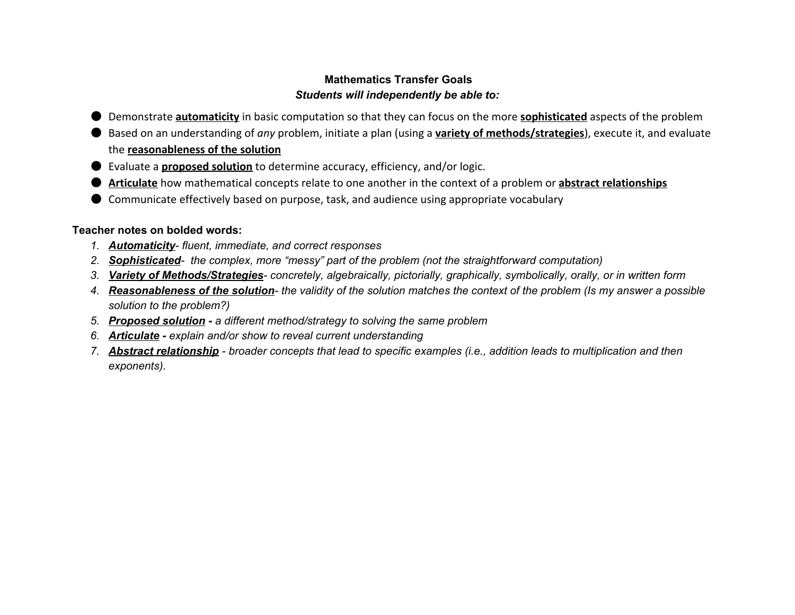## **Mathematics Transfer Goals** *Students will independently be able to:*

- Demonstrate **automaticity** in basic computation so that they can focus on the more **sophisticated** aspects of the problem
- Based on an understanding of *any* problem, initiate a plan (using a **variety of methods/strategies**), execute it, and evaluate the **reasonableness of the solution**
- Evaluate a **proposed solution** to determine accuracy, efficiency, and/or logic.
- **Articulate** how mathematical concepts relate to one another in the context of a problem or **abstract relationships**
- Communicate effectively based on purpose, task, and audience using appropriate vocabulary

#### **Teacher notes on bolded words:**

- *1. Automaticity fluent, immediate, and correct responses*
- *2. Sophisticated the complex, more "messy" part of the problem (not the straightforward computation)*
- *3. Variety of Methods/Strategies concretely, algebraically, pictorially, graphically, symbolically, orally, or in written form*
- 4. Reasonableness of the solution- the validity of the solution matches the context of the problem (Is my answer a possible *solution to the problem?)*
- *5. Proposed solution a different method/strategy to solving the same problem*
- *6. Articulate explain and/or show to reveal current understanding*
- *7. Abstract relations hip broader concepts that lead to specific examples (i.e., addition leads to multiplication and then exponents).*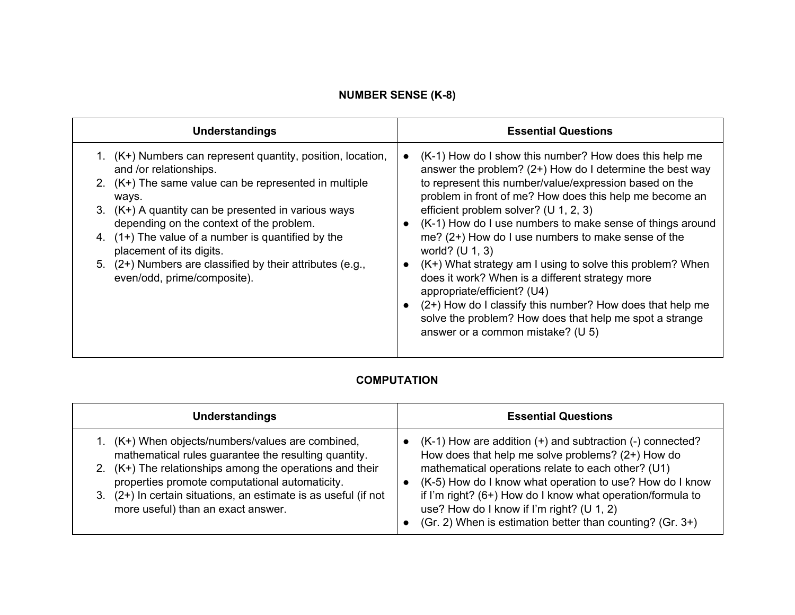## **NUMBER SENSE (K-8)**

| Understandings                                                                                                                                                                                                                                                                                                                                                                                                                               | <b>Essential Questions</b>                                                                                                                                                                                                                                                                                                                                                                                                                                                                                                                                                                                                                                                                                                                                                                      |
|----------------------------------------------------------------------------------------------------------------------------------------------------------------------------------------------------------------------------------------------------------------------------------------------------------------------------------------------------------------------------------------------------------------------------------------------|-------------------------------------------------------------------------------------------------------------------------------------------------------------------------------------------------------------------------------------------------------------------------------------------------------------------------------------------------------------------------------------------------------------------------------------------------------------------------------------------------------------------------------------------------------------------------------------------------------------------------------------------------------------------------------------------------------------------------------------------------------------------------------------------------|
| 1. (K+) Numbers can represent quantity, position, location,<br>and /or relationships.<br>2. $(K+)$ The same value can be represented in multiple<br>ways.<br>3. (K+) A quantity can be presented in various ways<br>depending on the context of the problem.<br>4. $(1+)$ The value of a number is quantified by the<br>placement of its digits.<br>5. (2+) Numbers are classified by their attributes (e.g.,<br>even/odd, prime/composite). | (K-1) How do I show this number? How does this help me<br>$\bullet$<br>answer the problem? $(2+)$ How do I determine the best way<br>to represent this number/value/expression based on the<br>problem in front of me? How does this help me become an<br>efficient problem solver? ( $U$ 1, 2, 3)<br>(K-1) How do I use numbers to make sense of things around<br>$\bullet$<br>me? $(2+)$ How do I use numbers to make sense of the<br>world? $(U 1, 3)$<br>(K+) What strategy am I using to solve this problem? When<br>$\bullet$<br>does it work? When is a different strategy more<br>appropriate/efficient? (U4)<br>(2+) How do I classify this number? How does that help me<br>$\bullet$<br>solve the problem? How does that help me spot a strange<br>answer or a common mistake? (U 5) |

#### **COMPUTATION**

| <b>Understandings</b>                                        | <b>Essential Questions</b>                                      |
|--------------------------------------------------------------|-----------------------------------------------------------------|
| $(K+)$ When objects/numbers/values are combined,             | $(K-1)$ How are addition $(+)$ and subtraction $(-)$ connected? |
| mathematical rules guarantee the resulting quantity.         | How does that help me solve problems? $(2+)$ How do             |
| $(K+)$ The relationships among the operations and their      | mathematical operations relate to each other? (U1)              |
| 2.                                                           | (K-5) How do I know what operation to use? How do I know        |
| properties promote computational automaticity.               | if I'm right? (6+) How do I know what operation/formula to      |
| (2+) In certain situations, an estimate is as useful (if not | use? How do I know if I'm right? (U 1, 2)                       |
| more useful) than an exact answer.                           | (Gr. 2) When is estimation better than counting? (Gr. $3+$ )    |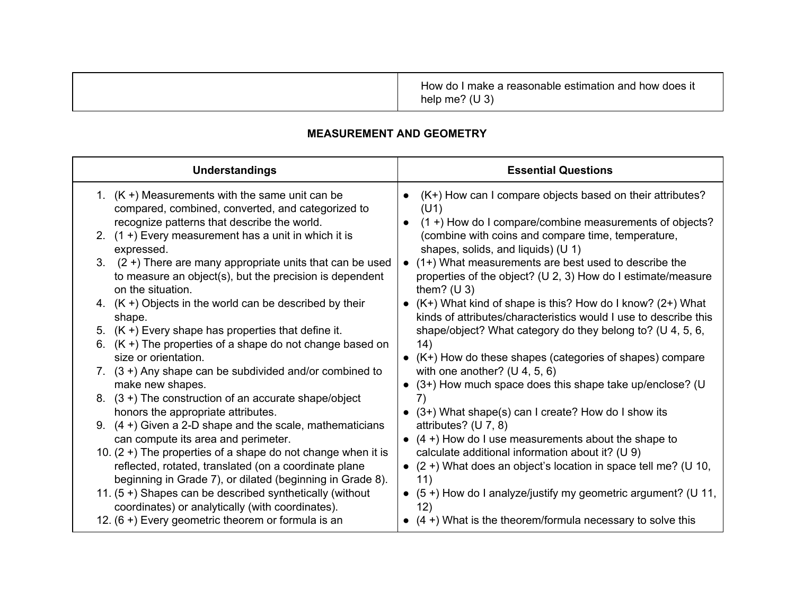|  | How do I make a reasonable estimation and how does it<br>(U3)<br>help me? |
|--|---------------------------------------------------------------------------|
|--|---------------------------------------------------------------------------|

## **MEASUREMENT AND GEOMETRY**

| <b>Understandings</b>                                                                                                                                 | <b>Essential Questions</b>                                                                                                              |
|-------------------------------------------------------------------------------------------------------------------------------------------------------|-----------------------------------------------------------------------------------------------------------------------------------------|
| 1. $(K +)$ Measurements with the same unit can be<br>compared, combined, converted, and categorized to<br>recognize patterns that describe the world. | (K+) How can I compare objects based on their attributes?<br>(U1)<br>(1+) How do I compare/combine measurements of objects?             |
| 2. $(1 +)$ Every measurement has a unit in which it is<br>expressed.                                                                                  | (combine with coins and compare time, temperature,<br>shapes, solids, and liquids) (U 1)                                                |
| 3. $(2 +)$ There are many appropriate units that can be used<br>to measure an object(s), but the precision is dependent<br>on the situation.          | • (1+) What measurements are best used to describe the<br>properties of the object? (U 2, 3) How do I estimate/measure<br>them? $(U 3)$ |
| 4. $(K +)$ Objects in the world can be described by their<br>shape.                                                                                   | • $(K+)$ What kind of shape is this? How do I know? (2+) What<br>kinds of attributes/characteristics would I use to describe this       |
| 5. $(K +)$ Every shape has properties that define it.                                                                                                 | shape/object? What category do they belong to? (U 4, 5, 6,                                                                              |
| 6. $(K +)$ The properties of a shape do not change based on<br>size or orientation.                                                                   | (14)<br>$\bullet$ (K+) How do these shapes (categories of shapes) compare                                                               |
| 7. $(3 +)$ Any shape can be subdivided and/or combined to                                                                                             | with one another? $(U 4, 5, 6)$                                                                                                         |
| make new shapes.                                                                                                                                      | (3+) How much space does this shape take up/enclose? (U                                                                                 |
| 8. $(3 +)$ The construction of an accurate shape/object<br>honors the appropriate attributes.                                                         | 7)                                                                                                                                      |
| 9. $(4 +)$ Given a 2-D shape and the scale, mathematicians                                                                                            | (3+) What shape(s) can I create? How do I show its<br>attributes? $(U 7, 8)$                                                            |
| can compute its area and perimeter.                                                                                                                   | $(4 +)$ How do I use measurements about the shape to                                                                                    |
| 10. $(2 +)$ The properties of a shape do not change when it is                                                                                        | calculate additional information about it? (U 9)                                                                                        |
| reflected, rotated, translated (on a coordinate plane<br>beginning in Grade 7), or dilated (beginning in Grade 8).                                    | $\bullet$ (2+) What does an object's location in space tell me? (U 10,<br>11)                                                           |
| 11. (5+) Shapes can be described synthetically (without<br>coordinates) or analytically (with coordinates).                                           | (5+) How do I analyze/justify my geometric argument? (U 11,<br>$\bullet$<br>12)                                                         |
| 12. (6+) Every geometric theorem or formula is an                                                                                                     | $\bullet$ (4+) What is the theorem/formula necessary to solve this                                                                      |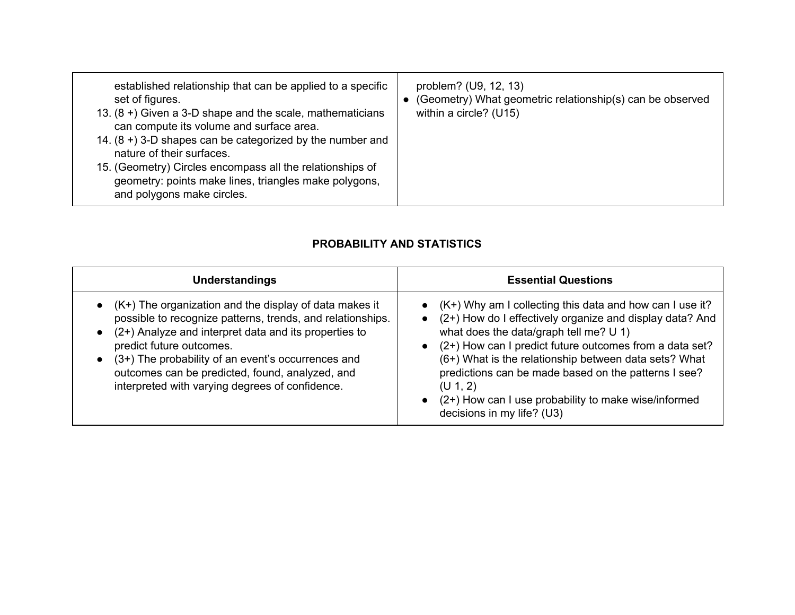| established relationship that can be applied to a specific<br>set of figures.<br>13. $(8 +)$ Given a 3-D shape and the scale, mathematicians<br>can compute its volume and surface area.<br>14. $(8 + 3 - D)$ shapes can be categorized by the number and<br>nature of their surfaces.<br>15. (Geometry) Circles encompass all the relationships of<br>geometry: points make lines, triangles make polygons,<br>and polygons make circles. | problem? (U9, 12, 13)<br>(Geometry) What geometric relationship(s) can be observed<br>within a circle? (U15) |
|--------------------------------------------------------------------------------------------------------------------------------------------------------------------------------------------------------------------------------------------------------------------------------------------------------------------------------------------------------------------------------------------------------------------------------------------|--------------------------------------------------------------------------------------------------------------|
|--------------------------------------------------------------------------------------------------------------------------------------------------------------------------------------------------------------------------------------------------------------------------------------------------------------------------------------------------------------------------------------------------------------------------------------------|--------------------------------------------------------------------------------------------------------------|

## **PROBABILITY AND STATISTICS**

| <b>Understandings</b>                                                                                                                                                                                                                                                                                                                                                           | <b>Essential Questions</b>                                                                                                                                                                                                                                                                                                                                                                                                                                                              |
|---------------------------------------------------------------------------------------------------------------------------------------------------------------------------------------------------------------------------------------------------------------------------------------------------------------------------------------------------------------------------------|-----------------------------------------------------------------------------------------------------------------------------------------------------------------------------------------------------------------------------------------------------------------------------------------------------------------------------------------------------------------------------------------------------------------------------------------------------------------------------------------|
| $\bullet$ (K+) The organization and the display of data makes it<br>possible to recognize patterns, trends, and relationships.<br>(2+) Analyze and interpret data and its properties to<br>predict future outcomes.<br>(3+) The probability of an event's occurrences and<br>outcomes can be predicted, found, analyzed, and<br>interpreted with varying degrees of confidence. | • $(K+)$ Why am I collecting this data and how can I use it?<br>(2+) How do I effectively organize and display data? And<br>$\bullet$<br>what does the data/graph tell me? U 1)<br>(2+) How can I predict future outcomes from a data set?<br>$\bullet$<br>(6+) What is the relationship between data sets? What<br>predictions can be made based on the patterns I see?<br>(U 1, 2)<br>(2+) How can I use probability to make wise/informed<br>$\bullet$<br>decisions in my life? (U3) |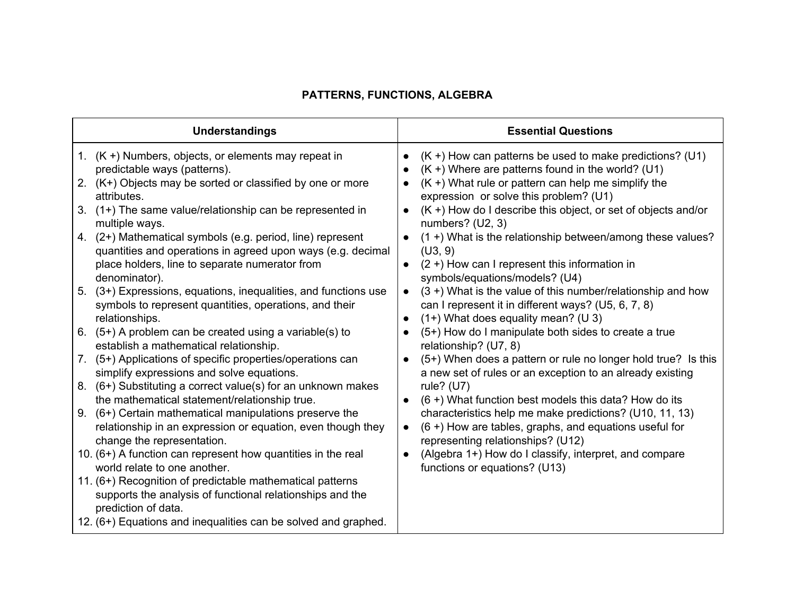# **PATTERNS, FUNCTIONS, ALGEBRA**

| <b>Understandings</b>                                                                                                                            | <b>Essential Questions</b>                                                                                                                                                              |
|--------------------------------------------------------------------------------------------------------------------------------------------------|-----------------------------------------------------------------------------------------------------------------------------------------------------------------------------------------|
| 1. $(K +)$ Numbers, objects, or elements may repeat in<br>predictable ways (patterns).                                                           | $(K +)$ How can patterns be used to make predictions? (U1)<br>$(K +)$ Where are patterns found in the world? (U1)                                                                       |
| 2. (K+) Objects may be sorted or classified by one or more<br>attributes.                                                                        | $(K +)$ What rule or pattern can help me simplify the<br>expression or solve this problem? (U1)                                                                                         |
| (1+) The same value/relationship can be represented in<br>3.<br>multiple ways.                                                                   | $(K +)$ How do I describe this object, or set of objects and/or<br>numbers? (U2, 3)                                                                                                     |
| (2+) Mathematical symbols (e.g. period, line) represent<br>4.<br>quantities and operations in agreed upon ways (e.g. decimal                     | (1+) What is the relationship between/among these values?<br>(U3, 9)                                                                                                                    |
| place holders, line to separate numerator from<br>denominator).                                                                                  | $(2 +)$ How can I represent this information in<br>$\bullet$<br>symbols/equations/models? (U4)                                                                                          |
| $(3+)$ Expressions, equations, inequalities, and functions use<br>5.<br>symbols to represent quantities, operations, and their<br>relationships. | $(3 +)$ What is the value of this number/relationship and how<br>$\bullet$<br>can I represent it in different ways? (U5, 6, 7, 8)<br>$(1+)$ What does equality mean? (U 3)<br>$\bullet$ |
| $(5+)$ A problem can be created using a variable(s) to<br>6.<br>establish a mathematical relationship.                                           | (5+) How do I manipulate both sides to create a true<br>relationship? (U7, 8)                                                                                                           |
| 7. (5+) Applications of specific properties/operations can<br>simplify expressions and solve equations.                                          | (5+) When does a pattern or rule no longer hold true? Is this<br>$\bullet$<br>a new set of rules or an exception to an already existing                                                 |
| $(6+)$ Substituting a correct value(s) for an unknown makes<br>8.<br>the mathematical statement/relationship true.                               | rule? $(U7)$<br>$(6 +)$ What function best models this data? How do its                                                                                                                 |
| 9. (6+) Certain mathematical manipulations preserve the<br>relationship in an expression or equation, even though they                           | characteristics help me make predictions? (U10, 11, 13)<br>(6+) How are tables, graphs, and equations useful for<br>$\bullet$                                                           |
| change the representation.<br>10. (6+) A function can represent how quantities in the real<br>world relate to one another.                       | representing relationships? (U12)<br>(Algebra 1+) How do I classify, interpret, and compare<br>$\bullet$                                                                                |
| 11. (6+) Recognition of predictable mathematical patterns<br>supports the analysis of functional relationships and the<br>prediction of data.    | functions or equations? (U13)                                                                                                                                                           |
| 12. (6+) Equations and inequalities can be solved and graphed.                                                                                   |                                                                                                                                                                                         |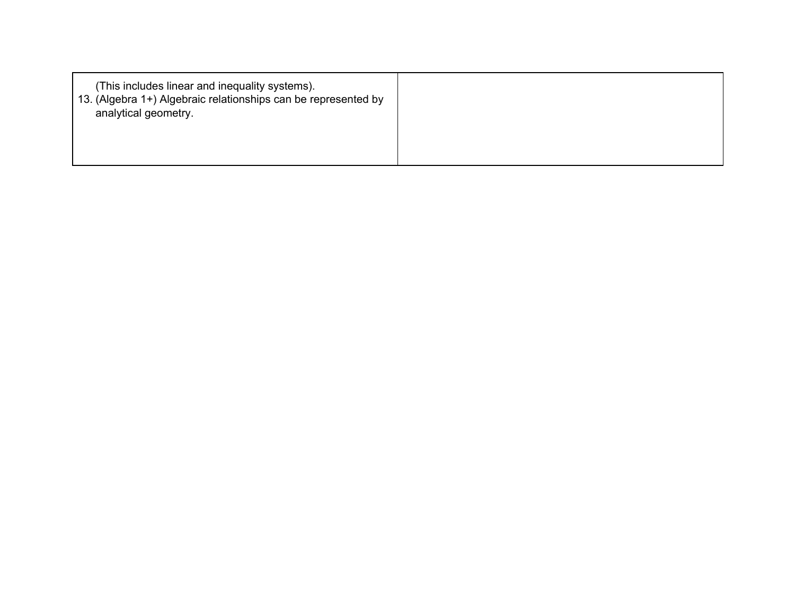| (This includes linear and inequality systems).<br>13. (Algebra 1+) Algebraic relationships can be represented by<br>analytical geometry. |  |
|------------------------------------------------------------------------------------------------------------------------------------------|--|
|                                                                                                                                          |  |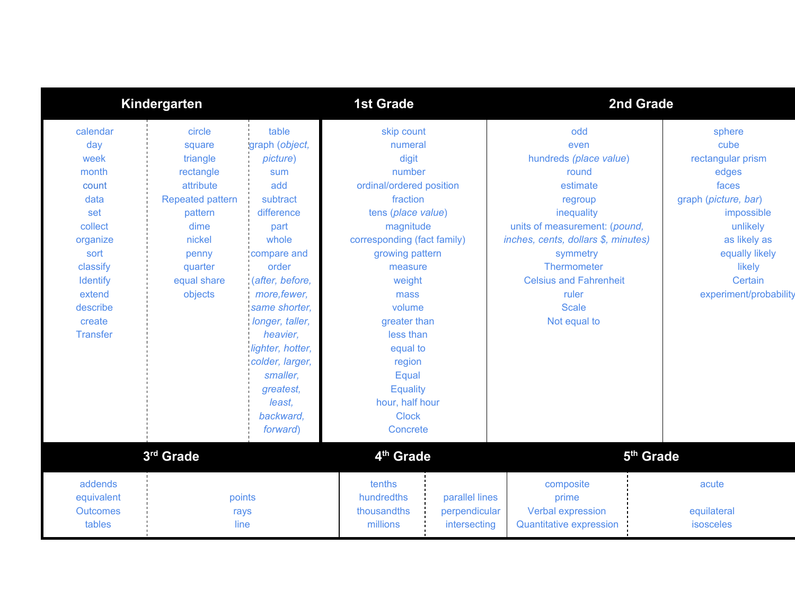|                                                                                                                                                                           | Kindergarten                                                                                                                                                 |                                                                                                                                                                                                                                                                                                            | <b>1st Grade</b>                                                                                                                                                                                                                                                                                                                           |                                                 | 2nd Grade                                                                                                                                                                                                                                                        |                                                                                                                                                                                          |
|---------------------------------------------------------------------------------------------------------------------------------------------------------------------------|--------------------------------------------------------------------------------------------------------------------------------------------------------------|------------------------------------------------------------------------------------------------------------------------------------------------------------------------------------------------------------------------------------------------------------------------------------------------------------|--------------------------------------------------------------------------------------------------------------------------------------------------------------------------------------------------------------------------------------------------------------------------------------------------------------------------------------------|-------------------------------------------------|------------------------------------------------------------------------------------------------------------------------------------------------------------------------------------------------------------------------------------------------------------------|------------------------------------------------------------------------------------------------------------------------------------------------------------------------------------------|
| calendar<br>day<br>week<br>month<br>count<br>data<br>set<br>collect<br>organize<br>sort<br>classify<br><b>Identify</b><br>extend<br>describe<br>create<br><b>Transfer</b> | circle<br>square<br>triangle<br>rectangle<br>attribute<br><b>Repeated pattern</b><br>pattern<br>dime<br>nickel<br>penny<br>quarter<br>equal share<br>objects | table<br>graph (object,<br>picture)<br>sum<br>add<br>subtract<br>difference<br>part<br>whole<br>compare and<br>order<br>(after, before,<br>more, fewer,<br>same shorter,<br>longer, taller,<br>heavier,<br>lighter, hotter,<br>colder, larger,<br>smaller,<br>greatest,<br>least,<br>backward,<br>forward) | skip count<br>numeral<br>digit<br>number<br>ordinal/ordered position<br>fraction<br>tens (place value)<br>magnitude<br>corresponding (fact family)<br>growing pattern<br>measure<br>weight<br>mass<br>volume<br>greater than<br>less than<br>equal to<br>region<br>Equal<br><b>Equality</b><br>hour, half hour<br><b>Clock</b><br>Concrete |                                                 | odd<br>even<br>hundreds (place value)<br>round<br>estimate<br>regroup<br>inequality<br>units of measurement: (pound,<br>inches, cents, dollars \$, minutes)<br>symmetry<br>Thermometer<br><b>Celsius and Fahrenheit</b><br>ruler<br><b>Scale</b><br>Not equal to | sphere<br>cube<br>rectangular prism<br>edges<br>faces<br>graph (picture, bar)<br>impossible<br>unlikely<br>as likely as<br>equally likely<br>likely<br>Certain<br>experiment/probability |
|                                                                                                                                                                           | 3rd Grade                                                                                                                                                    |                                                                                                                                                                                                                                                                                                            | 4 <sup>th</sup> Grade                                                                                                                                                                                                                                                                                                                      |                                                 |                                                                                                                                                                                                                                                                  | 5 <sup>th</sup> Grade                                                                                                                                                                    |
| addends<br>equivalent<br><b>Outcomes</b><br>tables                                                                                                                        | points<br>rays<br>line                                                                                                                                       |                                                                                                                                                                                                                                                                                                            | tenths<br>hundredths<br>thousandths<br>millions                                                                                                                                                                                                                                                                                            | parallel lines<br>perpendicular<br>intersecting | composite<br>prime<br><b>Verbal expression</b><br><b>Quantitative expression</b>                                                                                                                                                                                 | acute<br>equilateral<br>isosceles                                                                                                                                                        |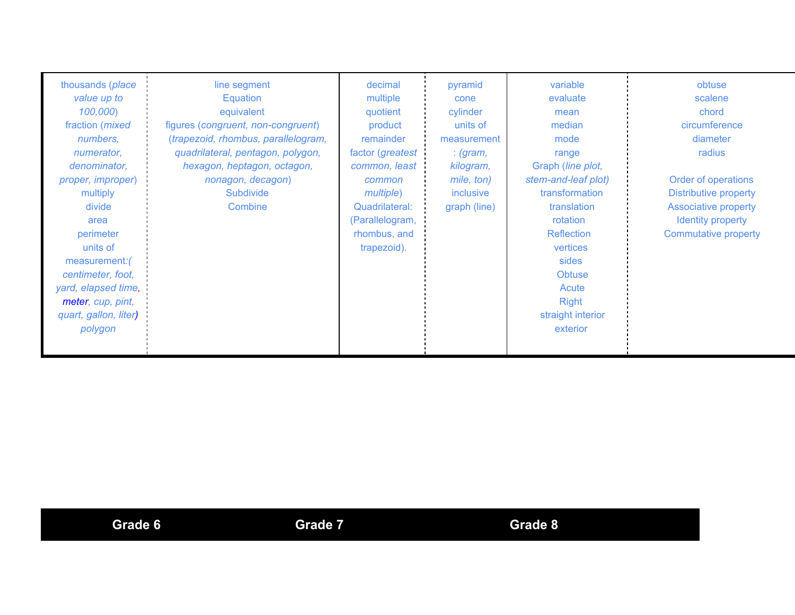| thousands (place<br>value up to<br>100,000)<br>fraction ( <i>mixed</i><br>numbers,<br>numerator,<br>denominator,<br>proper, improper)<br>multiply<br>divide<br>area<br>perimeter<br>units of<br>measurement:<br>centimeter, foot,<br>yard, elapsed time,<br>meter, cup, pint,<br>quart, gallon, liter)<br>polygon | line segment<br>Equation<br>equivalent<br>figures (congruent, non-congruent)<br>(trapezoid, rhombus, parallelogram,<br>quadrilateral, pentagon, polygon,<br>hexagon, heptagon, octagon,<br>nonagon, decagon)<br><b>Subdivide</b><br>Combine | decimal<br>multiple<br>quotient<br>product<br>remainder<br>factor (greatest<br>common, least<br>common<br><i>multiple</i> )<br>Quadrilateral:<br>(Parallelogram,<br>rhombus, and<br>trapezoid). | pyramid<br>cone<br>cylinder<br>units of<br>measurement<br>: (gram,<br>kilogram,<br>mile, ton)<br><i>inclusive</i><br>graph (line) | variable<br>evaluate<br>mean<br>median<br>mode<br>range<br>Graph (line plot,<br>stem-and-leaf plot)<br>transformation<br>translation<br>rotation<br><b>Reflection</b><br>vertices<br>sides<br><b>Obtuse</b><br>Acute<br><b>Right</b><br>straight interior<br>exterior | obtuse<br>scalene<br>chord<br>circumference<br>diameter<br>radius<br>Order of operations<br><b>Distributive property</b><br><b>Associative property</b><br>Identity property<br><b>Commutative property</b> |
|-------------------------------------------------------------------------------------------------------------------------------------------------------------------------------------------------------------------------------------------------------------------------------------------------------------------|---------------------------------------------------------------------------------------------------------------------------------------------------------------------------------------------------------------------------------------------|-------------------------------------------------------------------------------------------------------------------------------------------------------------------------------------------------|-----------------------------------------------------------------------------------------------------------------------------------|-----------------------------------------------------------------------------------------------------------------------------------------------------------------------------------------------------------------------------------------------------------------------|-------------------------------------------------------------------------------------------------------------------------------------------------------------------------------------------------------------|
|-------------------------------------------------------------------------------------------------------------------------------------------------------------------------------------------------------------------------------------------------------------------------------------------------------------------|---------------------------------------------------------------------------------------------------------------------------------------------------------------------------------------------------------------------------------------------|-------------------------------------------------------------------------------------------------------------------------------------------------------------------------------------------------|-----------------------------------------------------------------------------------------------------------------------------------|-----------------------------------------------------------------------------------------------------------------------------------------------------------------------------------------------------------------------------------------------------------------------|-------------------------------------------------------------------------------------------------------------------------------------------------------------------------------------------------------------|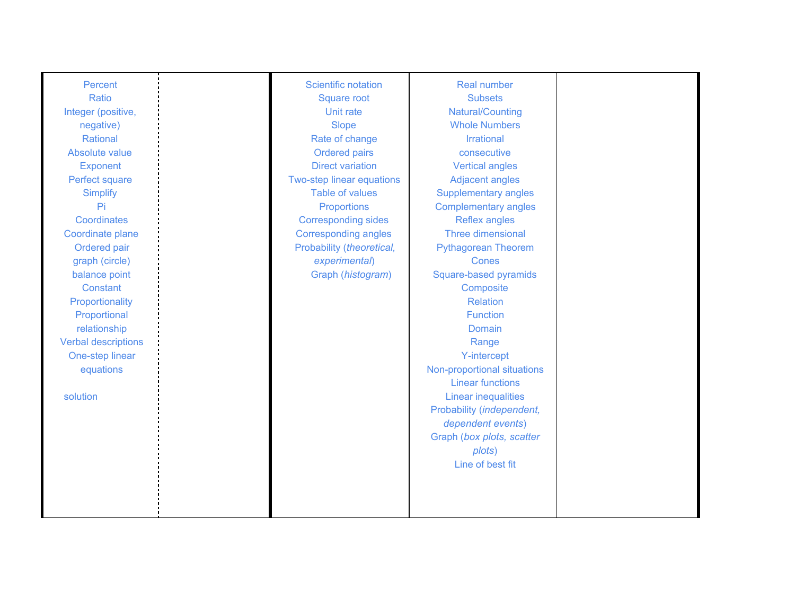| Percent                    | Scientific notation         | <b>Real number</b>          |  |
|----------------------------|-----------------------------|-----------------------------|--|
| Ratio                      | <b>Square root</b>          | <b>Subsets</b>              |  |
| Integer (positive,         | Unit rate                   | Natural/Counting            |  |
| negative)                  | <b>Slope</b>                | <b>Whole Numbers</b>        |  |
| Rational                   | Rate of change              | <b>Irrational</b>           |  |
| Absolute value             | Ordered pairs               | consecutive                 |  |
| <b>Exponent</b>            | <b>Direct variation</b>     | <b>Vertical angles</b>      |  |
| Perfect square             | Two-step linear equations   | <b>Adjacent angles</b>      |  |
| <b>Simplify</b>            | <b>Table of values</b>      | <b>Supplementary angles</b> |  |
| Pi                         | Proportions                 | <b>Complementary angles</b> |  |
| Coordinates                | <b>Corresponding sides</b>  | Reflex angles               |  |
| Coordinate plane           | <b>Corresponding angles</b> | Three dimensional           |  |
| Ordered pair               | Probability (theoretical,   | <b>Pythagorean Theorem</b>  |  |
| graph (circle)             | experimental)               | <b>Cones</b>                |  |
| balance point              | Graph (histogram)           | Square-based pyramids       |  |
| Constant                   |                             | Composite                   |  |
| Proportionality            |                             | <b>Relation</b>             |  |
| Proportional               |                             | <b>Function</b>             |  |
| relationship               |                             | Domain                      |  |
| <b>Verbal descriptions</b> |                             | Range                       |  |
| One-step linear            |                             | <b>Y-intercept</b>          |  |
| equations                  |                             | Non-proportional situations |  |
|                            |                             | <b>Linear functions</b>     |  |
| solution                   |                             | <b>Linear inequalities</b>  |  |
|                            |                             | Probability (independent,   |  |
|                            |                             | dependent events)           |  |
|                            |                             | Graph (box plots, scatter   |  |
|                            |                             | plots)                      |  |
|                            |                             | Line of best fit            |  |
|                            |                             |                             |  |
|                            |                             |                             |  |
|                            |                             |                             |  |
|                            |                             |                             |  |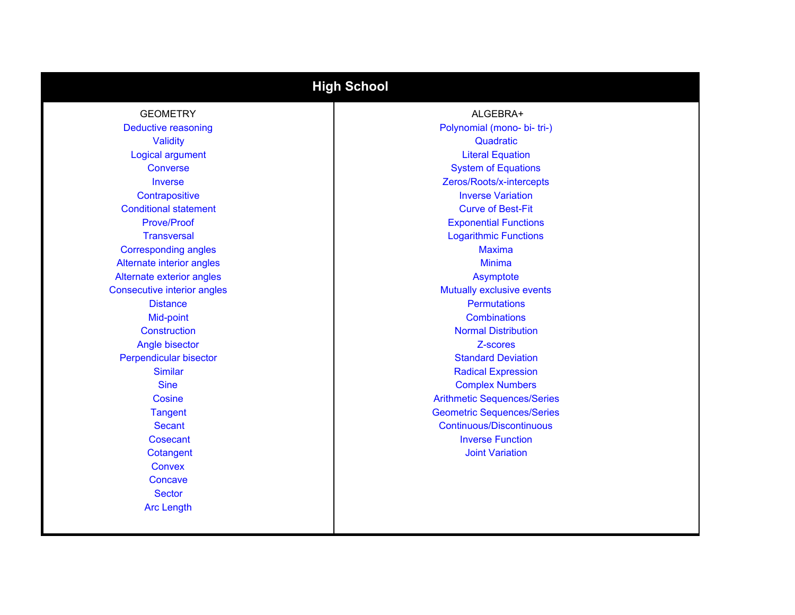| <b>High School</b>                 |                                    |  |
|------------------------------------|------------------------------------|--|
| <b>GEOMETRY</b>                    | ALGEBRA+                           |  |
| <b>Deductive reasoning</b>         | Polynomial (mono- bi- tri-)        |  |
| <b>Validity</b>                    | Quadratic                          |  |
| Logical argument                   | <b>Literal Equation</b>            |  |
| Converse                           | <b>System of Equations</b>         |  |
| <b>Inverse</b>                     | Zeros/Roots/x-intercepts           |  |
| Contrapositive                     | <b>Inverse Variation</b>           |  |
| <b>Conditional statement</b>       | <b>Curve of Best-Fit</b>           |  |
| Prove/Proof                        | <b>Exponential Functions</b>       |  |
| <b>Transversal</b>                 | <b>Logarithmic Functions</b>       |  |
| <b>Corresponding angles</b>        | <b>Maxima</b>                      |  |
| Alternate interior angles          | <b>Minima</b>                      |  |
| Alternate exterior angles          | Asymptote                          |  |
| <b>Consecutive interior angles</b> | Mutually exclusive events          |  |
| <b>Distance</b>                    | <b>Permutations</b>                |  |
| Mid-point                          | <b>Combinations</b>                |  |
| Construction                       | <b>Normal Distribution</b>         |  |
| Angle bisector                     | Z-scores                           |  |
| Perpendicular bisector             | <b>Standard Deviation</b>          |  |
| <b>Similar</b>                     | <b>Radical Expression</b>          |  |
| <b>Sine</b>                        | <b>Complex Numbers</b>             |  |
| Cosine                             | <b>Arithmetic Sequences/Series</b> |  |
| <b>Tangent</b>                     | <b>Geometric Sequences/Series</b>  |  |
| <b>Secant</b>                      | <b>Continuous/Discontinuous</b>    |  |
| Cosecant                           | <b>Inverse Function</b>            |  |
| Cotangent                          | <b>Joint Variation</b>             |  |
| <b>Convex</b>                      |                                    |  |
| Concave                            |                                    |  |
| <b>Sector</b>                      |                                    |  |
| <b>Arc Length</b>                  |                                    |  |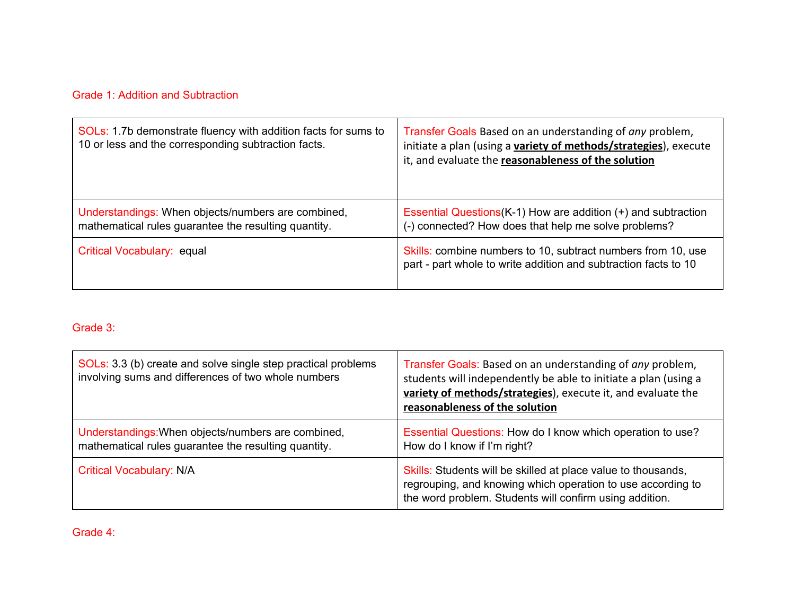## Grade 1: Addition and Subtraction

| SOLs: 1.7b demonstrate fluency with addition facts for sums to<br>10 or less and the corresponding subtraction facts. | Transfer Goals Based on an understanding of any problem,<br>initiate a plan (using a variety of methods/strategies), execute<br>it, and evaluate the reasonableness of the solution |
|-----------------------------------------------------------------------------------------------------------------------|-------------------------------------------------------------------------------------------------------------------------------------------------------------------------------------|
| Understandings: When objects/numbers are combined,<br>mathematical rules guarantee the resulting quantity.            | Essential Questions(K-1) How are addition (+) and subtraction<br>(-) connected? How does that help me solve problems?                                                               |
| Critical Vocabulary: equal                                                                                            | Skills: combine numbers to 10, subtract numbers from 10, use<br>part - part whole to write addition and subtraction facts to 10                                                     |

## Grade 3:

| SOLs: 3.3 (b) create and solve single step practical problems<br>involving sums and differences of two whole numbers | Transfer Goals: Based on an understanding of any problem,<br>students will independently be able to initiate a plan (using a<br>variety of methods/strategies), execute it, and evaluate the<br>reasonableness of the solution |
|----------------------------------------------------------------------------------------------------------------------|--------------------------------------------------------------------------------------------------------------------------------------------------------------------------------------------------------------------------------|
| Understandings: When objects/numbers are combined,<br>mathematical rules guarantee the resulting quantity.           | Essential Questions: How do I know which operation to use?<br>How do I know if I'm right?                                                                                                                                      |
| <b>Critical Vocabulary: N/A</b>                                                                                      | Skills: Students will be skilled at place value to thousands,<br>regrouping, and knowing which operation to use according to<br>the word problem. Students will confirm using addition.                                        |

Grade 4: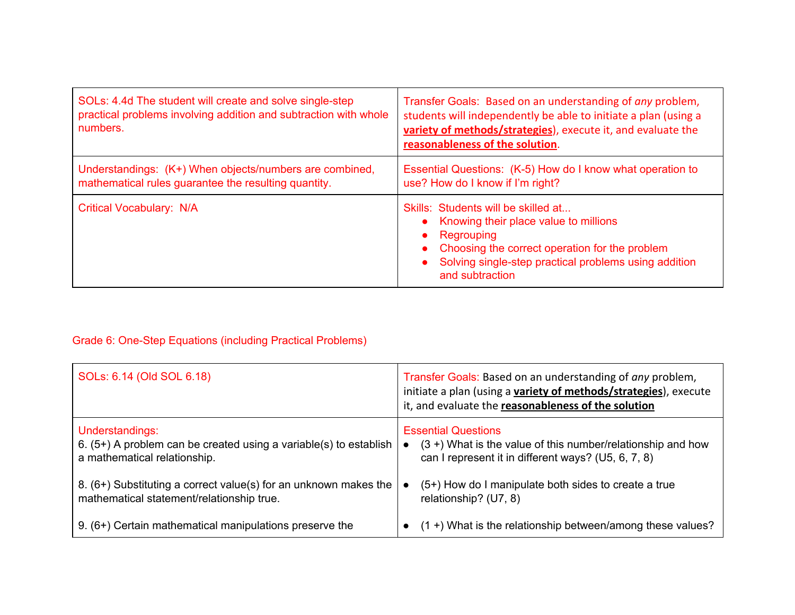| SOLs: 4.4d The student will create and solve single-step<br>practical problems involving addition and subtraction with whole<br>numbers. | Transfer Goals: Based on an understanding of any problem,<br>students will independently be able to initiate a plan (using a<br>variety of methods/strategies), execute it, and evaluate the<br>reasonableness of the solution. |
|------------------------------------------------------------------------------------------------------------------------------------------|---------------------------------------------------------------------------------------------------------------------------------------------------------------------------------------------------------------------------------|
| Understandings: (K+) When objects/numbers are combined,<br>mathematical rules guarantee the resulting quantity.                          | Essential Questions: (K-5) How do I know what operation to<br>use? How do I know if I'm right?                                                                                                                                  |
| Critical Vocabulary: N/A                                                                                                                 | Skills: Students will be skilled at<br>Knowing their place value to millions<br>Regrouping<br>Choosing the correct operation for the problem<br>Solving single-step practical problems using addition<br>and subtraction        |

# Grade 6: One-Step Equations (including Practical Problems)

| SOLs: 6.14 (Old SOL 6.18)                                           | Transfer Goals: Based on an understanding of any problem,<br>initiate a plan (using a variety of methods/strategies), execute<br>it, and evaluate the reasonableness of the solution |
|---------------------------------------------------------------------|--------------------------------------------------------------------------------------------------------------------------------------------------------------------------------------|
| Understandings:                                                     | <b>Essential Questions</b>                                                                                                                                                           |
| 6. $(5+)$ A problem can be created using a variable(s) to establish | $(3 +)$ What is the value of this number/relationship and how                                                                                                                        |
| a mathematical relationship.                                        | can I represent it in different ways? (U5, 6, 7, 8)                                                                                                                                  |
| 8. (6+) Substituting a correct value(s) for an unknown makes the    | $(5+)$ How do I manipulate both sides to create a true                                                                                                                               |
| mathematical statement/relationship true.                           | relationship? (U7, 8)                                                                                                                                                                |
| 9. (6+) Certain mathematical manipulations preserve the             | $(1 +)$ What is the relationship between/among these values?                                                                                                                         |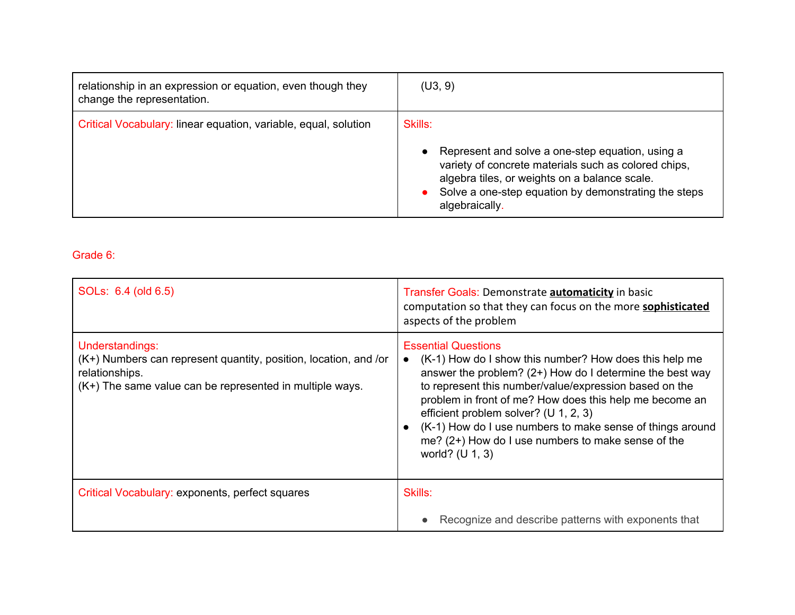| relationship in an expression or equation, even though they<br>change the representation. | (U3, 9)                                                                                                                                                                                                                                                     |
|-------------------------------------------------------------------------------------------|-------------------------------------------------------------------------------------------------------------------------------------------------------------------------------------------------------------------------------------------------------------|
| Critical Vocabulary: linear equation, variable, equal, solution                           | Skills:<br>Represent and solve a one-step equation, using a<br>$\bullet$<br>variety of concrete materials such as colored chips,<br>algebra tiles, or weights on a balance scale.<br>Solve a one-step equation by demonstrating the steps<br>algebraically. |

Grade 6:

| SOLs: 6.4 (old 6.5)                                                                                                                                               | Transfer Goals: Demonstrate <b>automaticity</b> in basic<br>computation so that they can focus on the more <b>sophisticated</b><br>aspects of the problem                                                                                                                                                                                                                                                                                              |
|-------------------------------------------------------------------------------------------------------------------------------------------------------------------|--------------------------------------------------------------------------------------------------------------------------------------------------------------------------------------------------------------------------------------------------------------------------------------------------------------------------------------------------------------------------------------------------------------------------------------------------------|
| Understandings:<br>(K+) Numbers can represent quantity, position, location, and /or<br>relationships.<br>(K+) The same value can be represented in multiple ways. | <b>Essential Questions</b><br>(K-1) How do I show this number? How does this help me<br>answer the problem? (2+) How do I determine the best way<br>to represent this number/value/expression based on the<br>problem in front of me? How does this help me become an<br>efficient problem solver? (U 1, 2, 3)<br>(K-1) How do I use numbers to make sense of things around<br>me? (2+) How do I use numbers to make sense of the<br>world? $(U 1, 3)$ |
| Critical Vocabulary: exponents, perfect squares                                                                                                                   | Skills:                                                                                                                                                                                                                                                                                                                                                                                                                                                |
|                                                                                                                                                                   | Recognize and describe patterns with exponents that                                                                                                                                                                                                                                                                                                                                                                                                    |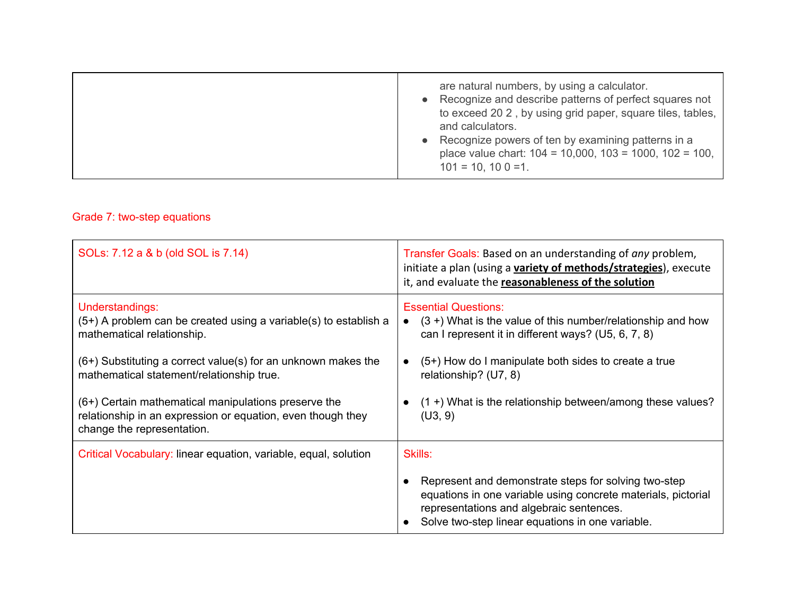|  | are natural numbers, by using a calculator.<br>Recognize and describe patterns of perfect squares not<br>$\bullet$<br>to exceed 20 2, by using grid paper, square tiles, tables,<br>and calculators.<br>Recognize powers of ten by examining patterns in a<br>$\bullet$<br>place value chart: $104 = 10,000, 103 = 1000, 102 = 100,$<br>$101 = 10$ , $100 = 1$ . |
|--|------------------------------------------------------------------------------------------------------------------------------------------------------------------------------------------------------------------------------------------------------------------------------------------------------------------------------------------------------------------|
|--|------------------------------------------------------------------------------------------------------------------------------------------------------------------------------------------------------------------------------------------------------------------------------------------------------------------------------------------------------------------|

## Grade 7: two-step equations

| SOLs: 7.12 a & b (old SOL is 7.14)                                                                                                                                                             | Transfer Goals: Based on an understanding of any problem,<br>initiate a plan (using a variety of methods/strategies), execute<br>it, and evaluate the reasonableness of the solution                          |
|------------------------------------------------------------------------------------------------------------------------------------------------------------------------------------------------|---------------------------------------------------------------------------------------------------------------------------------------------------------------------------------------------------------------|
| Understandings:<br>$(5+)$ A problem can be created using a variable(s) to establish a<br>mathematical relationship.<br>$(6+)$ Substituting a correct value(s) for an unknown makes the         | <b>Essential Questions:</b><br>$(3 +)$ What is the value of this number/relationship and how<br>can I represent it in different ways? (U5, 6, 7, 8)<br>$(5+)$ How do I manipulate both sides to create a true |
| mathematical statement/relationship true.<br>(6+) Certain mathematical manipulations preserve the<br>relationship in an expression or equation, even though they<br>change the representation. | relationship? (U7, 8)<br>$(1 +)$ What is the relationship between/among these values?<br>(U3, 9)                                                                                                              |
| Critical Vocabulary: linear equation, variable, equal, solution                                                                                                                                | Skills:<br>Represent and demonstrate steps for solving two-step<br>equations in one variable using concrete materials, pictorial                                                                              |
|                                                                                                                                                                                                | representations and algebraic sentences.<br>Solve two-step linear equations in one variable.                                                                                                                  |